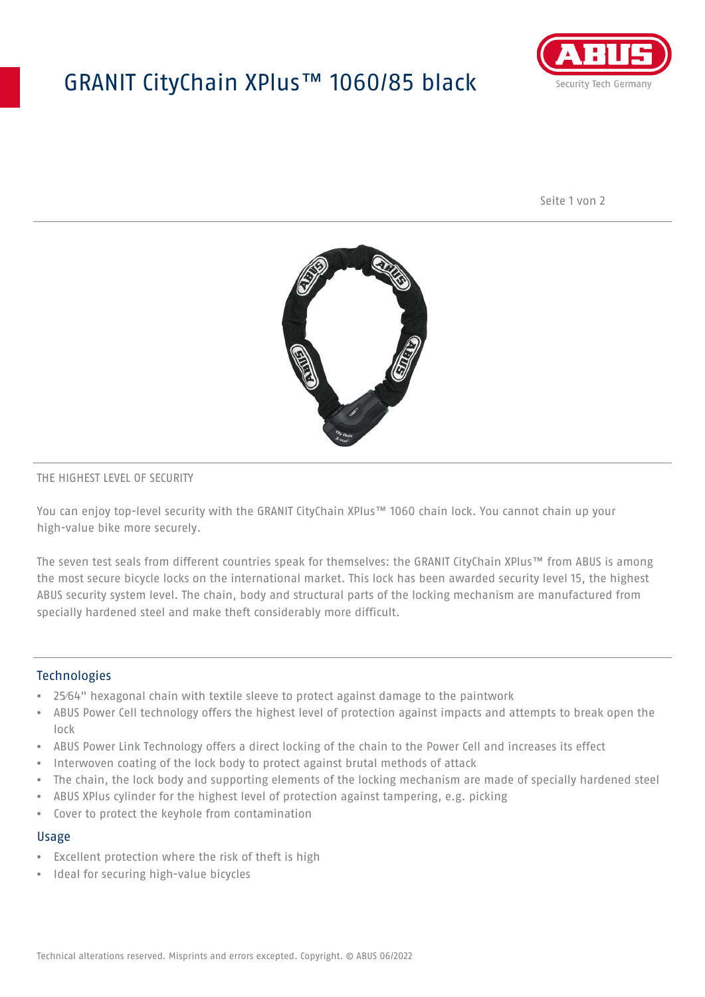# GRANIT CityChain XPlus™ 1060/85 black



Seite 1 von 2



### THE HIGHEST LEVEL OF SECURITY

You can enjoy top-level security with the GRANIT CityChain XPlus™ 1060 chain lock. You cannot chain up your high-value bike more securely.

The seven test seals from different countries speak for themselves: the GRANIT CityChain XPlus™ from ABUS is among the most secure bicycle locks on the international market. This lock has been awarded security level 15, the highest ABUS security system level. The chain, body and structural parts of the locking mechanism are manufactured from specially hardened steel and make theft considerably more difficult.

### **Technologies**

- 25⁄64" hexagonal chain with textile sleeve to protect against damage to the paintwork
- ABUS Power Cell technology offers the highest level of protection against impacts and attempts to break open the lock
- ABUS Power Link Technology offers a direct locking of the chain to the Power Cell and increases its effect
- Interwoven coating of the lock body to protect against brutal methods of attack
- The chain, the lock body and supporting elements of the locking mechanism are made of specially hardened steel
- ABUS XPlus cylinder for the highest level of protection against tampering, e.g. picking
- Cover to protect the keyhole from contamination

#### Usage

- Excellent protection where the risk of theft is high
- Ideal for securing high-value bicycles